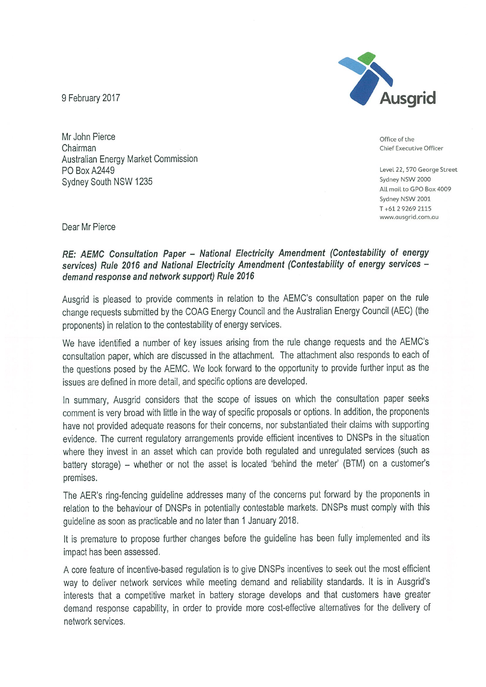9 February 2017



Office of the Chief Executive Officer

Level 22, 570 George Street Sydney NSW 2000 All mail to GPO Box 4009 Sydney NSW 2001 T+61 2 9269 2115 www.ausgrid.com.au

Mr John Pierce Chairman **Australian Energy Market Commission** PO Box A2449 Sydney South NSW 1235

Dear Mr Pierce

# RE: AEMC Consultation Paper - National Electricity Amendment (Contestability of energy services) Rule 2016 and National Electricity Amendment (Contestability of energy services demand response and network support) Rule 2016

Ausgrid is pleased to provide comments in relation to the AEMC's consultation paper on the rule change requests submitted by the COAG Energy Council and the Australian Energy Council (AEC) (the proponents) in relation to the contestability of energy services.

We have identified a number of key issues arising from the rule change requests and the AEMC's consultation paper, which are discussed in the attachment. The attachment also responds to each of the questions posed by the AEMC. We look forward to the opportunity to provide further input as the issues are defined in more detail, and specific options are developed.

In summary, Ausgrid considers that the scope of issues on which the consultation paper seeks comment is very broad with little in the way of specific proposals or options. In addition, the proponents have not provided adequate reasons for their concerns, nor substantiated their claims with supporting evidence. The current regulatory arrangements provide efficient incentives to DNSPs in the situation where they invest in an asset which can provide both regulated and unregulated services (such as battery storage) – whether or not the asset is located 'behind the meter' (BTM) on a customer's premises.

The AER's ring-fencing guideline addresses many of the concerns put forward by the proponents in relation to the behaviour of DNSPs in potentially contestable markets. DNSPs must comply with this quideline as soon as practicable and no later than 1 January 2018.

It is premature to propose further changes before the guideline has been fully implemented and its impact has been assessed.

A core feature of incentive-based regulation is to give DNSPs incentives to seek out the most efficient way to deliver network services while meeting demand and reliability standards. It is in Ausgrid's interests that a competitive market in battery storage develops and that customers have greater demand response capability, in order to provide more cost-effective alternatives for the delivery of network services.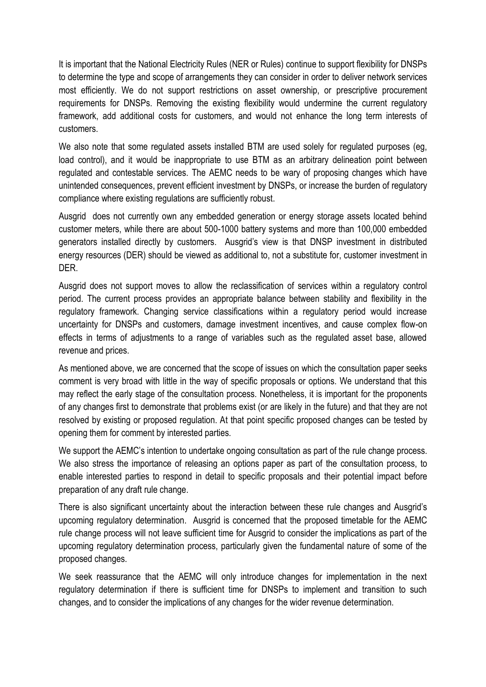It is important that the National Electricity Rules (NER or Rules) continue to support flexibility for DNSPs to determine the type and scope of arrangements they can consider in order to deliver network services most efficiently. We do not support restrictions on asset ownership, or prescriptive procurement requirements for DNSPs. Removing the existing flexibility would undermine the current regulatory framework, add additional costs for customers, and would not enhance the long term interests of customers.

We also note that some regulated assets installed BTM are used solely for regulated purposes (eg, load control), and it would be inappropriate to use BTM as an arbitrary delineation point between regulated and contestable services. The AEMC needs to be wary of proposing changes which have unintended consequences, prevent efficient investment by DNSPs, or increase the burden of regulatory compliance where existing regulations are sufficiently robust.

Ausgrid does not currently own any embedded generation or energy storage assets located behind customer meters, while there are about 500-1000 battery systems and more than 100,000 embedded generators installed directly by customers. Ausgrid's view is that DNSP investment in distributed energy resources (DER) should be viewed as additional to, not a substitute for, customer investment in DER.

Ausgrid does not support moves to allow the reclassification of services within a regulatory control period. The current process provides an appropriate balance between stability and flexibility in the regulatory framework. Changing service classifications within a regulatory period would increase uncertainty for DNSPs and customers, damage investment incentives, and cause complex flow-on effects in terms of adjustments to a range of variables such as the regulated asset base, allowed revenue and prices.

As mentioned above, we are concerned that the scope of issues on which the consultation paper seeks comment is very broad with little in the way of specific proposals or options. We understand that this may reflect the early stage of the consultation process. Nonetheless, it is important for the proponents of any changes first to demonstrate that problems exist (or are likely in the future) and that they are not resolved by existing or proposed regulation. At that point specific proposed changes can be tested by opening them for comment by interested parties.

We support the AEMC's intention to undertake ongoing consultation as part of the rule change process. We also stress the importance of releasing an options paper as part of the consultation process, to enable interested parties to respond in detail to specific proposals and their potential impact before preparation of any draft rule change.

There is also significant uncertainty about the interaction between these rule changes and Ausgrid's upcoming regulatory determination. Ausgrid is concerned that the proposed timetable for the AEMC rule change process will not leave sufficient time for Ausgrid to consider the implications as part of the upcoming regulatory determination process, particularly given the fundamental nature of some of the proposed changes.

We seek reassurance that the AEMC will only introduce changes for implementation in the next regulatory determination if there is sufficient time for DNSPs to implement and transition to such changes, and to consider the implications of any changes for the wider revenue determination.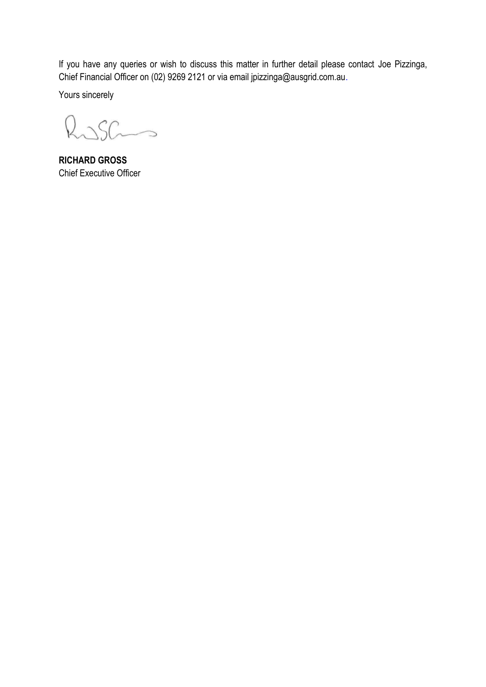If you have any queries or wish to discuss this matter in further detail please contact Joe Pizzinga, Chief Financial Officer on (02) 9269 2121 or via email jpizzinga@ausgrid.com.au.

Yours sincerely

Ruscio

**RICHARD GROSS** Chief Executive Officer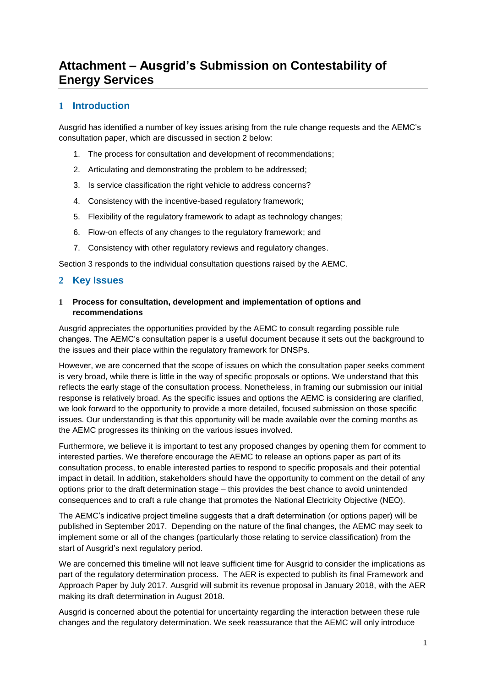# **Attachment – Ausgrid's Submission on Contestability of Energy Services**

# **1 Introduction**

Ausgrid has identified a number of key issues arising from the rule change requests and the AEMC's consultation paper, which are discussed in section 2 below:

- 1. The process for consultation and development of recommendations;
- 2. Articulating and demonstrating the problem to be addressed;
- 3. Is service classification the right vehicle to address concerns?
- 4. Consistency with the incentive-based regulatory framework;
- 5. Flexibility of the regulatory framework to adapt as technology changes;
- 6. Flow-on effects of any changes to the regulatory framework; and
- 7. Consistency with other regulatory reviews and regulatory changes.

Section 3 responds to the individual consultation questions raised by the AEMC.

### **2 Key Issues**

### **1 Process for consultation, development and implementation of options and recommendations**

Ausgrid appreciates the opportunities provided by the AEMC to consult regarding possible rule changes. The AEMC's consultation paper is a useful document because it sets out the background to the issues and their place within the regulatory framework for DNSPs.

However, we are concerned that the scope of issues on which the consultation paper seeks comment is very broad, while there is little in the way of specific proposals or options. We understand that this reflects the early stage of the consultation process. Nonetheless, in framing our submission our initial response is relatively broad. As the specific issues and options the AEMC is considering are clarified, we look forward to the opportunity to provide a more detailed, focused submission on those specific issues. Our understanding is that this opportunity will be made available over the coming months as the AEMC progresses its thinking on the various issues involved.

Furthermore, we believe it is important to test any proposed changes by opening them for comment to interested parties. We therefore encourage the AEMC to release an options paper as part of its consultation process, to enable interested parties to respond to specific proposals and their potential impact in detail. In addition, stakeholders should have the opportunity to comment on the detail of any options prior to the draft determination stage – this provides the best chance to avoid unintended consequences and to craft a rule change that promotes the National Electricity Objective (NEO).

The AEMC's indicative project timeline suggests that a draft determination (or options paper) will be published in September 2017. Depending on the nature of the final changes, the AEMC may seek to implement some or all of the changes (particularly those relating to service classification) from the start of Ausgrid's next regulatory period.

We are concerned this timeline will not leave sufficient time for Ausgrid to consider the implications as part of the regulatory determination process. The AER is expected to publish its final Framework and Approach Paper by July 2017. Ausgrid will submit its revenue proposal in January 2018, with the AER making its draft determination in August 2018.

Ausgrid is concerned about the potential for uncertainty regarding the interaction between these rule changes and the regulatory determination. We seek reassurance that the AEMC will only introduce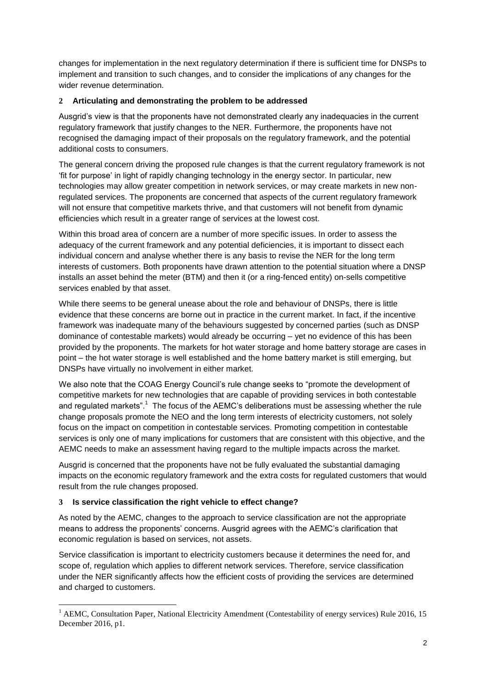changes for implementation in the next regulatory determination if there is sufficient time for DNSPs to implement and transition to such changes, and to consider the implications of any changes for the wider revenue determination.

### **2 Articulating and demonstrating the problem to be addressed**

Ausgrid's view is that the proponents have not demonstrated clearly any inadequacies in the current regulatory framework that justify changes to the NER. Furthermore, the proponents have not recognised the damaging impact of their proposals on the regulatory framework, and the potential additional costs to consumers.

The general concern driving the proposed rule changes is that the current regulatory framework is not 'fit for purpose' in light of rapidly changing technology in the energy sector. In particular, new technologies may allow greater competition in network services, or may create markets in new nonregulated services. The proponents are concerned that aspects of the current regulatory framework will not ensure that competitive markets thrive, and that customers will not benefit from dynamic efficiencies which result in a greater range of services at the lowest cost.

Within this broad area of concern are a number of more specific issues. In order to assess the adequacy of the current framework and any potential deficiencies, it is important to dissect each individual concern and analyse whether there is any basis to revise the NER for the long term interests of customers. Both proponents have drawn attention to the potential situation where a DNSP installs an asset behind the meter (BTM) and then it (or a ring-fenced entity) on-sells competitive services enabled by that asset.

While there seems to be general unease about the role and behaviour of DNSPs, there is little evidence that these concerns are borne out in practice in the current market. In fact, if the incentive framework was inadequate many of the behaviours suggested by concerned parties (such as DNSP dominance of contestable markets) would already be occurring – yet no evidence of this has been provided by the proponents. The markets for hot water storage and home battery storage are cases in point – the hot water storage is well established and the home battery market is still emerging, but DNSPs have virtually no involvement in either market.

We also note that the COAG Energy Council's rule change seeks to "promote the development of competitive markets for new technologies that are capable of providing services in both contestable and regulated markets".<sup>1</sup> The focus of the AEMC's deliberations must be assessing whether the rule change proposals promote the NEO and the long term interests of electricity customers, not solely focus on the impact on competition in contestable services. Promoting competition in contestable services is only one of many implications for customers that are consistent with this objective, and the AEMC needs to make an assessment having regard to the multiple impacts across the market.

Ausgrid is concerned that the proponents have not be fully evaluated the substantial damaging impacts on the economic regulatory framework and the extra costs for regulated customers that would result from the rule changes proposed.

#### **3 Is service classification the right vehicle to effect change?**

<u>.</u>

As noted by the AEMC, changes to the approach to service classification are not the appropriate means to address the proponents' concerns. Ausgrid agrees with the AEMC's clarification that economic regulation is based on services, not assets.

Service classification is important to electricity customers because it determines the need for, and scope of, regulation which applies to different network services. Therefore, service classification under the NER significantly affects how the efficient costs of providing the services are determined and charged to customers.

<sup>&</sup>lt;sup>1</sup> AEMC, Consultation Paper, National Electricity Amendment (Contestability of energy services) Rule 2016, 15 December 2016, p1.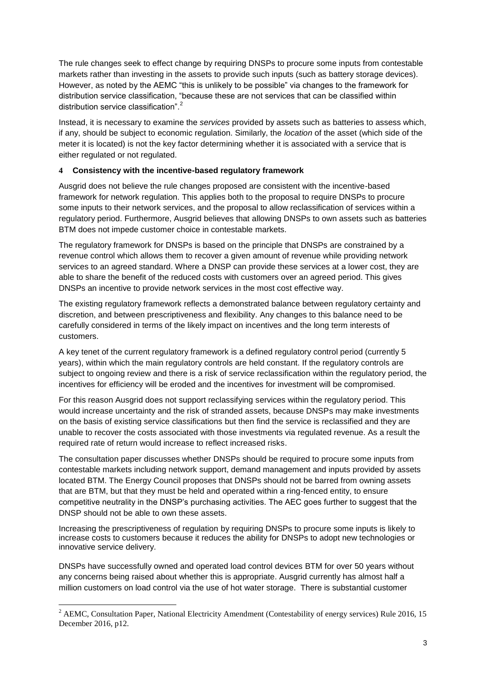The rule changes seek to effect change by requiring DNSPs to procure some inputs from contestable markets rather than investing in the assets to provide such inputs (such as battery storage devices). However, as noted by the AEMC "this is unlikely to be possible" via changes to the framework for distribution service classification, "because these are not services that can be classified within distribution service classification".

Instead, it is necessary to examine the *services* provided by assets such as batteries to assess which, if any, should be subject to economic regulation. Similarly, the *location* of the asset (which side of the meter it is located) is not the key factor determining whether it is associated with a service that is either regulated or not regulated.

#### **4 Consistency with the incentive-based regulatory framework**

Ausgrid does not believe the rule changes proposed are consistent with the incentive-based framework for network regulation. This applies both to the proposal to require DNSPs to procure some inputs to their network services, and the proposal to allow reclassification of services within a regulatory period. Furthermore, Ausgrid believes that allowing DNSPs to own assets such as batteries BTM does not impede customer choice in contestable markets.

The regulatory framework for DNSPs is based on the principle that DNSPs are constrained by a revenue control which allows them to recover a given amount of revenue while providing network services to an agreed standard. Where a DNSP can provide these services at a lower cost, they are able to share the benefit of the reduced costs with customers over an agreed period. This gives DNSPs an incentive to provide network services in the most cost effective way.

The existing regulatory framework reflects a demonstrated balance between regulatory certainty and discretion, and between prescriptiveness and flexibility. Any changes to this balance need to be carefully considered in terms of the likely impact on incentives and the long term interests of customers.

A key tenet of the current regulatory framework is a defined regulatory control period (currently 5 years), within which the main regulatory controls are held constant. If the regulatory controls are subject to ongoing review and there is a risk of service reclassification within the regulatory period, the incentives for efficiency will be eroded and the incentives for investment will be compromised.

For this reason Ausgrid does not support reclassifying services within the regulatory period. This would increase uncertainty and the risk of stranded assets, because DNSPs may make investments on the basis of existing service classifications but then find the service is reclassified and they are unable to recover the costs associated with those investments via regulated revenue. As a result the required rate of return would increase to reflect increased risks.

The consultation paper discusses whether DNSPs should be required to procure some inputs from contestable markets including network support, demand management and inputs provided by assets located BTM. The Energy Council proposes that DNSPs should not be barred from owning assets that are BTM, but that they must be held and operated within a ring-fenced entity, to ensure competitive neutrality in the DNSP's purchasing activities. The AEC goes further to suggest that the DNSP should not be able to own these assets.

Increasing the prescriptiveness of regulation by requiring DNSPs to procure some inputs is likely to increase costs to customers because it reduces the ability for DNSPs to adopt new technologies or innovative service delivery.

DNSPs have successfully owned and operated load control devices BTM for over 50 years without any concerns being raised about whether this is appropriate. Ausgrid currently has almost half a million customers on load control via the use of hot water storage. There is substantial customer

<u>.</u>

<sup>&</sup>lt;sup>2</sup> AEMC, Consultation Paper, National Electricity Amendment (Contestability of energy services) Rule 2016, 15 December 2016, p12.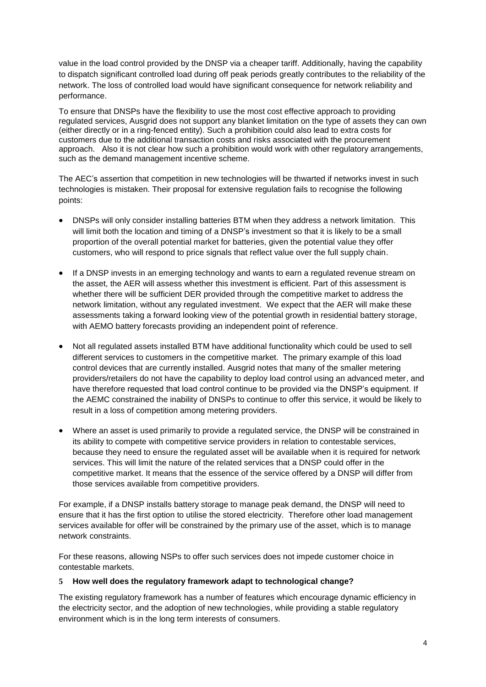value in the load control provided by the DNSP via a cheaper tariff. Additionally, having the capability to dispatch significant controlled load during off peak periods greatly contributes to the reliability of the network. The loss of controlled load would have significant consequence for network reliability and performance.

To ensure that DNSPs have the flexibility to use the most cost effective approach to providing regulated services, Ausgrid does not support any blanket limitation on the type of assets they can own (either directly or in a ring-fenced entity). Such a prohibition could also lead to extra costs for customers due to the additional transaction costs and risks associated with the procurement approach. Also it is not clear how such a prohibition would work with other regulatory arrangements, such as the demand management incentive scheme.

The AEC's assertion that competition in new technologies will be thwarted if networks invest in such technologies is mistaken. Their proposal for extensive regulation fails to recognise the following points:

- DNSPs will only consider installing batteries BTM when they address a network limitation. This will limit both the location and timing of a DNSP's investment so that it is likely to be a small proportion of the overall potential market for batteries, given the potential value they offer customers, who will respond to price signals that reflect value over the full supply chain.
- If a DNSP invests in an emerging technology and wants to earn a regulated revenue stream on the asset, the AER will assess whether this investment is efficient. Part of this assessment is whether there will be sufficient DER provided through the competitive market to address the network limitation, without any regulated investment. We expect that the AER will make these assessments taking a forward looking view of the potential growth in residential battery storage, with AEMO battery forecasts providing an independent point of reference.
- Not all regulated assets installed BTM have additional functionality which could be used to sell different services to customers in the competitive market. The primary example of this load control devices that are currently installed. Ausgrid notes that many of the smaller metering providers/retailers do not have the capability to deploy load control using an advanced meter, and have therefore requested that load control continue to be provided via the DNSP's equipment. If the AEMC constrained the inability of DNSPs to continue to offer this service, it would be likely to result in a loss of competition among metering providers.
- Where an asset is used primarily to provide a regulated service, the DNSP will be constrained in its ability to compete with competitive service providers in relation to contestable services, because they need to ensure the regulated asset will be available when it is required for network services. This will limit the nature of the related services that a DNSP could offer in the competitive market. It means that the essence of the service offered by a DNSP will differ from those services available from competitive providers.

For example, if a DNSP installs battery storage to manage peak demand, the DNSP will need to ensure that it has the first option to utilise the stored electricity. Therefore other load management services available for offer will be constrained by the primary use of the asset, which is to manage network constraints.

For these reasons, allowing NSPs to offer such services does not impede customer choice in contestable markets.

#### **5 How well does the regulatory framework adapt to technological change?**

The existing regulatory framework has a number of features which encourage dynamic efficiency in the electricity sector, and the adoption of new technologies, while providing a stable regulatory environment which is in the long term interests of consumers.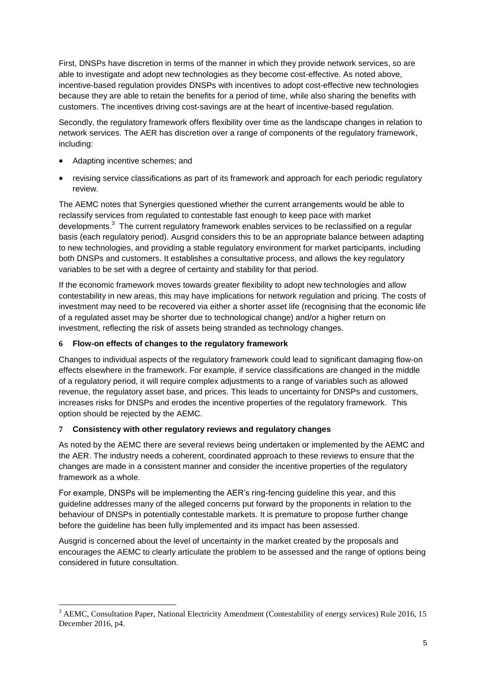First, DNSPs have discretion in terms of the manner in which they provide network services, so are able to investigate and adopt new technologies as they become cost-effective. As noted above, incentive-based regulation provides DNSPs with incentives to adopt cost-effective new technologies because they are able to retain the benefits for a period of time, while also sharing the benefits with customers. The incentives driving cost-savings are at the heart of incentive-based regulation.

Secondly, the regulatory framework offers flexibility over time as the landscape changes in relation to network services. The AER has discretion over a range of components of the regulatory framework, including:

- Adapting incentive schemes; and
- revising service classifications as part of its framework and approach for each periodic regulatory review.

The AEMC notes that Synergies questioned whether the current arrangements would be able to reclassify services from regulated to contestable fast enough to keep pace with market developments.<sup>3</sup> The current regulatory framework enables services to be reclassified on a regular basis (each regulatory period). Ausgrid considers this to be an appropriate balance between adapting to new technologies, and providing a stable regulatory environment for market participants, including both DNSPs and customers. It establishes a consultative process, and allows the key regulatory variables to be set with a degree of certainty and stability for that period.

If the economic framework moves towards greater flexibility to adopt new technologies and allow contestability in new areas, this may have implications for network regulation and pricing. The costs of investment may need to be recovered via either a shorter asset life (recognising that the economic life of a regulated asset may be shorter due to technological change) and/or a higher return on investment, reflecting the risk of assets being stranded as technology changes.

### **6 Flow-on effects of changes to the regulatory framework**

Changes to individual aspects of the regulatory framework could lead to significant damaging flow-on effects elsewhere in the framework. For example, if service classifications are changed in the middle of a regulatory period, it will require complex adjustments to a range of variables such as allowed revenue, the regulatory asset base, and prices. This leads to uncertainty for DNSPs and customers, increases risks for DNSPs and erodes the incentive properties of the regulatory framework. This option should be rejected by the AEMC.

#### **7 Consistency with other regulatory reviews and regulatory changes**

As noted by the AEMC there are several reviews being undertaken or implemented by the AEMC and the AER. The industry needs a coherent, coordinated approach to these reviews to ensure that the changes are made in a consistent manner and consider the incentive properties of the regulatory framework as a whole.

For example, DNSPs will be implementing the AER's ring-fencing guideline this year, and this guideline addresses many of the alleged concerns put forward by the proponents in relation to the behaviour of DNSPs in potentially contestable markets. It is premature to propose further change before the guideline has been fully implemented and its impact has been assessed.

Ausgrid is concerned about the level of uncertainty in the market created by the proposals and encourages the AEMC to clearly articulate the problem to be assessed and the range of options being considered in future consultation.

<sup>&</sup>lt;u>.</u> <sup>3</sup> AEMC, Consultation Paper, National Electricity Amendment (Contestability of energy services) Rule 2016, 15 December 2016, p4.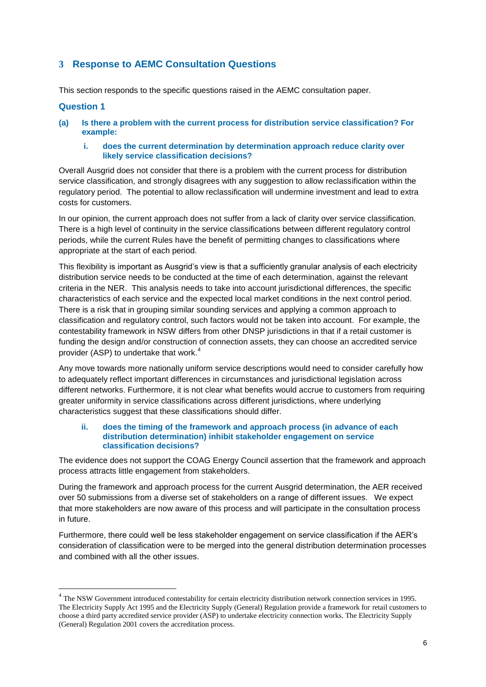# **3 Response to AEMC Consultation Questions**

This section responds to the specific questions raised in the AEMC consultation paper.

#### **Question 1**

1

- **(a) Is there a problem with the current process for distribution service classification? For example:**
	- **i. does the current determination by determination approach reduce clarity over likely service classification decisions?**

Overall Ausgrid does not consider that there is a problem with the current process for distribution service classification, and strongly disagrees with any suggestion to allow reclassification within the regulatory period. The potential to allow reclassification will undermine investment and lead to extra costs for customers.

In our opinion, the current approach does not suffer from a lack of clarity over service classification. There is a high level of continuity in the service classifications between different regulatory control periods, while the current Rules have the benefit of permitting changes to classifications where appropriate at the start of each period.

This flexibility is important as Ausgrid's view is that a sufficiently granular analysis of each electricity distribution service needs to be conducted at the time of each determination, against the relevant criteria in the NER. This analysis needs to take into account jurisdictional differences, the specific characteristics of each service and the expected local market conditions in the next control period. There is a risk that in grouping similar sounding services and applying a common approach to classification and regulatory control, such factors would not be taken into account. For example, the contestability framework in NSW differs from other DNSP jurisdictions in that if a retail customer is funding the design and/or construction of connection assets, they can choose an accredited service provider (ASP) to undertake that work.<sup>4</sup>

Any move towards more nationally uniform service descriptions would need to consider carefully how to adequately reflect important differences in circumstances and jurisdictional legislation across different networks. Furthermore, it is not clear what benefits would accrue to customers from requiring greater uniformity in service classifications across different jurisdictions, where underlying characteristics suggest that these classifications should differ.

#### **ii. does the timing of the framework and approach process (in advance of each distribution determination) inhibit stakeholder engagement on service classification decisions?**

The evidence does not support the COAG Energy Council assertion that the framework and approach process attracts little engagement from stakeholders.

During the framework and approach process for the current Ausgrid determination, the AER received over 50 submissions from a diverse set of stakeholders on a range of different issues. We expect that more stakeholders are now aware of this process and will participate in the consultation process in future.

Furthermore, there could well be less stakeholder engagement on service classification if the AER's consideration of classification were to be merged into the general distribution determination processes and combined with all the other issues.

<sup>&</sup>lt;sup>4</sup> The NSW Government introduced contestability for certain electricity distribution network connection services in 1995. The Electricity Supply Act 1995 and the Electricity Supply (General) Regulation provide a framework for retail customers to choose a third party accredited service provider (ASP) to undertake electricity connection works. The Electricity Supply (General) Regulation 2001 covers the accreditation process.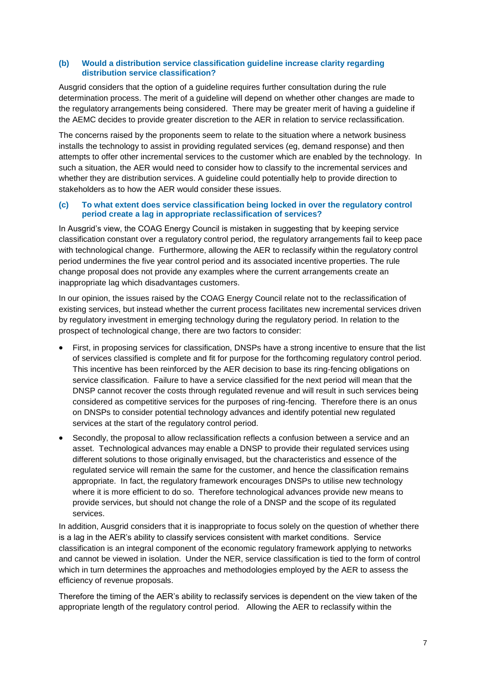#### **(b) Would a distribution service classification guideline increase clarity regarding distribution service classification?**

Ausgrid considers that the option of a guideline requires further consultation during the rule determination process. The merit of a guideline will depend on whether other changes are made to the regulatory arrangements being considered. There may be greater merit of having a guideline if the AEMC decides to provide greater discretion to the AER in relation to service reclassification.

The concerns raised by the proponents seem to relate to the situation where a network business installs the technology to assist in providing regulated services (eg, demand response) and then attempts to offer other incremental services to the customer which are enabled by the technology. In such a situation, the AER would need to consider how to classify to the incremental services and whether they are distribution services. A guideline could potentially help to provide direction to stakeholders as to how the AER would consider these issues.

#### **(c) To what extent does service classification being locked in over the regulatory control period create a lag in appropriate reclassification of services?**

In Ausgrid's view, the COAG Energy Council is mistaken in suggesting that by keeping service classification constant over a regulatory control period, the regulatory arrangements fail to keep pace with technological change. Furthermore, allowing the AER to reclassify within the regulatory control period undermines the five year control period and its associated incentive properties. The rule change proposal does not provide any examples where the current arrangements create an inappropriate lag which disadvantages customers.

In our opinion, the issues raised by the COAG Energy Council relate not to the reclassification of existing services, but instead whether the current process facilitates new incremental services driven by regulatory investment in emerging technology during the regulatory period. In relation to the prospect of technological change, there are two factors to consider:

- First, in proposing services for classification, DNSPs have a strong incentive to ensure that the list of services classified is complete and fit for purpose for the forthcoming regulatory control period. This incentive has been reinforced by the AER decision to base its ring-fencing obligations on service classification. Failure to have a service classified for the next period will mean that the DNSP cannot recover the costs through regulated revenue and will result in such services being considered as competitive services for the purposes of ring-fencing. Therefore there is an onus on DNSPs to consider potential technology advances and identify potential new regulated services at the start of the regulatory control period.
- Secondly, the proposal to allow reclassification reflects a confusion between a service and an asset. Technological advances may enable a DNSP to provide their regulated services using different solutions to those originally envisaged, but the characteristics and essence of the regulated service will remain the same for the customer, and hence the classification remains appropriate. In fact, the regulatory framework encourages DNSPs to utilise new technology where it is more efficient to do so. Therefore technological advances provide new means to provide services, but should not change the role of a DNSP and the scope of its regulated services.

In addition, Ausgrid considers that it is inappropriate to focus solely on the question of whether there is a lag in the AER's ability to classify services consistent with market conditions. Service classification is an integral component of the economic regulatory framework applying to networks and cannot be viewed in isolation. Under the NER, service classification is tied to the form of control which in turn determines the approaches and methodologies employed by the AER to assess the efficiency of revenue proposals.

Therefore the timing of the AER's ability to reclassify services is dependent on the view taken of the appropriate length of the regulatory control period. Allowing the AER to reclassify within the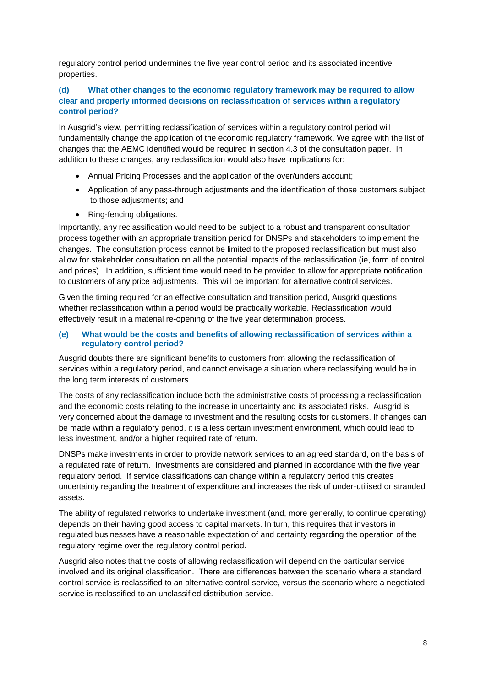regulatory control period undermines the five year control period and its associated incentive properties.

### **(d) What other changes to the economic regulatory framework may be required to allow clear and properly informed decisions on reclassification of services within a regulatory control period?**

In Ausgrid's view, permitting reclassification of services within a regulatory control period will fundamentally change the application of the economic regulatory framework. We agree with the list of changes that the AEMC identified would be required in section 4.3 of the consultation paper. In addition to these changes, any reclassification would also have implications for:

- Annual Pricing Processes and the application of the over/unders account;
- Application of any pass-through adjustments and the identification of those customers subject to those adjustments; and
- Ring-fencing obligations.

Importantly, any reclassification would need to be subject to a robust and transparent consultation process together with an appropriate transition period for DNSPs and stakeholders to implement the changes. The consultation process cannot be limited to the proposed reclassification but must also allow for stakeholder consultation on all the potential impacts of the reclassification (ie, form of control and prices). In addition, sufficient time would need to be provided to allow for appropriate notification to customers of any price adjustments. This will be important for alternative control services.

Given the timing required for an effective consultation and transition period, Ausgrid questions whether reclassification within a period would be practically workable. Reclassification would effectively result in a material re-opening of the five year determination process.

#### **(e) What would be the costs and benefits of allowing reclassification of services within a regulatory control period?**

Ausgrid doubts there are significant benefits to customers from allowing the reclassification of services within a regulatory period, and cannot envisage a situation where reclassifying would be in the long term interests of customers.

The costs of any reclassification include both the administrative costs of processing a reclassification and the economic costs relating to the increase in uncertainty and its associated risks. Ausgrid is very concerned about the damage to investment and the resulting costs for customers. If changes can be made within a regulatory period, it is a less certain investment environment, which could lead to less investment, and/or a higher required rate of return.

DNSPs make investments in order to provide network services to an agreed standard, on the basis of a regulated rate of return. Investments are considered and planned in accordance with the five year regulatory period. If service classifications can change within a regulatory period this creates uncertainty regarding the treatment of expenditure and increases the risk of under-utilised or stranded assets.

The ability of regulated networks to undertake investment (and, more generally, to continue operating) depends on their having good access to capital markets. In turn, this requires that investors in regulated businesses have a reasonable expectation of and certainty regarding the operation of the regulatory regime over the regulatory control period.

Ausgrid also notes that the costs of allowing reclassification will depend on the particular service involved and its original classification. There are differences between the scenario where a standard control service is reclassified to an alternative control service, versus the scenario where a negotiated service is reclassified to an unclassified distribution service.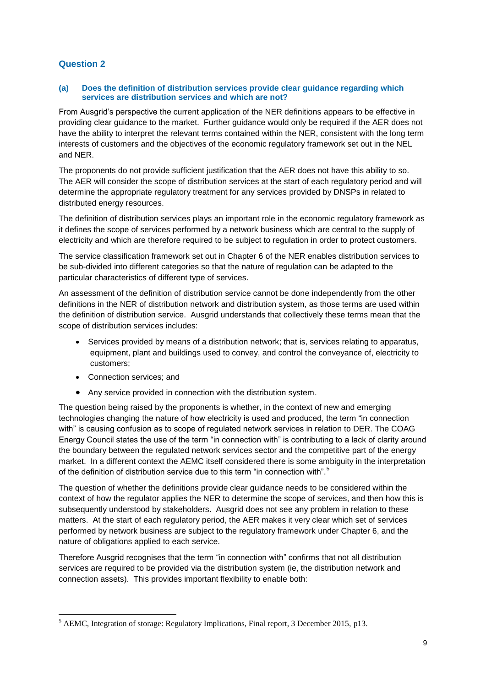### **Question 2**

#### **(a) Does the definition of distribution services provide clear guidance regarding which services are distribution services and which are not?**

From Ausgrid's perspective the current application of the NER definitions appears to be effective in providing clear guidance to the market. Further guidance would only be required if the AER does not have the ability to interpret the relevant terms contained within the NER, consistent with the long term interests of customers and the objectives of the economic regulatory framework set out in the NEL and NER.

The proponents do not provide sufficient justification that the AER does not have this ability to so. The AER will consider the scope of distribution services at the start of each regulatory period and will determine the appropriate regulatory treatment for any services provided by DNSPs in related to distributed energy resources.

The definition of distribution services plays an important role in the economic regulatory framework as it defines the scope of services performed by a network business which are central to the supply of electricity and which are therefore required to be subject to regulation in order to protect customers.

The service classification framework set out in Chapter 6 of the NER enables distribution services to be sub-divided into different categories so that the nature of regulation can be adapted to the particular characteristics of different type of services.

An assessment of the definition of distribution service cannot be done independently from the other definitions in the NER of distribution network and distribution system, as those terms are used within the definition of distribution service. Ausgrid understands that collectively these terms mean that the scope of distribution services includes:

- Services provided by means of a distribution network; that is, services relating to apparatus, equipment, plant and buildings used to convey, and control the conveyance of, electricity to customers;
- Connection services; and
- Any service provided in connection with the distribution system.

The question being raised by the proponents is whether, in the context of new and emerging technologies changing the nature of how electricity is used and produced, the term "in connection with" is causing confusion as to scope of regulated network services in relation to DER. The COAG Energy Council states the use of the term "in connection with" is contributing to a lack of clarity around the boundary between the regulated network services sector and the competitive part of the energy market. In a different context the AEMC itself considered there is some ambiguity in the interpretation of the definition of distribution service due to this term "in connection with".<sup>5</sup>

The question of whether the definitions provide clear guidance needs to be considered within the context of how the regulator applies the NER to determine the scope of services, and then how this is subsequently understood by stakeholders. Ausgrid does not see any problem in relation to these matters. At the start of each regulatory period, the AER makes it very clear which set of services performed by network business are subject to the regulatory framework under Chapter 6, and the nature of obligations applied to each service.

Therefore Ausgrid recognises that the term "in connection with" confirms that not all distribution services are required to be provided via the distribution system (ie, the distribution network and connection assets). This provides important flexibility to enable both:

<sup>1</sup> <sup>5</sup> AEMC, Integration of storage: Regulatory Implications, Final report, 3 December 2015, p13.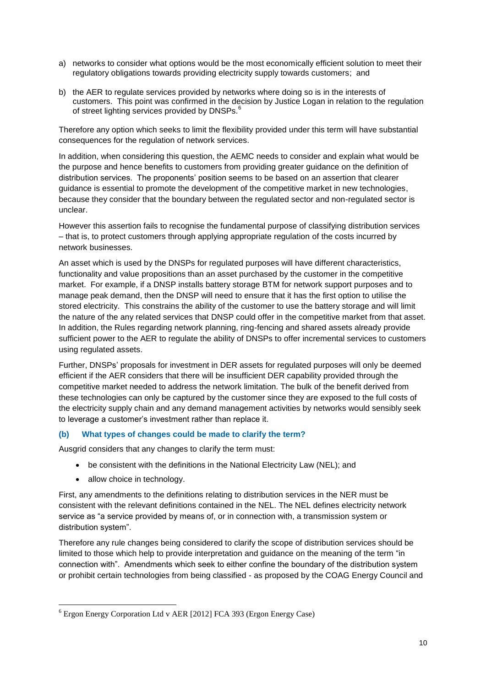- a) networks to consider what options would be the most economically efficient solution to meet their regulatory obligations towards providing electricity supply towards customers; and
- b) the AER to regulate services provided by networks where doing so is in the interests of customers. This point was confirmed in the decision by Justice Logan in relation to the regulation of street lighting services provided by DNSPs.<sup>6</sup>

Therefore any option which seeks to limit the flexibility provided under this term will have substantial consequences for the regulation of network services.

In addition, when considering this question, the AEMC needs to consider and explain what would be the purpose and hence benefits to customers from providing greater guidance on the definition of distribution services. The proponents' position seems to be based on an assertion that clearer guidance is essential to promote the development of the competitive market in new technologies, because they consider that the boundary between the regulated sector and non-regulated sector is unclear.

However this assertion fails to recognise the fundamental purpose of classifying distribution services – that is, to protect customers through applying appropriate regulation of the costs incurred by network businesses.

An asset which is used by the DNSPs for regulated purposes will have different characteristics, functionality and value propositions than an asset purchased by the customer in the competitive market. For example, if a DNSP installs battery storage BTM for network support purposes and to manage peak demand, then the DNSP will need to ensure that it has the first option to utilise the stored electricity. This constrains the ability of the customer to use the battery storage and will limit the nature of the any related services that DNSP could offer in the competitive market from that asset. In addition, the Rules regarding network planning, ring-fencing and shared assets already provide sufficient power to the AER to regulate the ability of DNSPs to offer incremental services to customers using regulated assets.

Further, DNSPs' proposals for investment in DER assets for regulated purposes will only be deemed efficient if the AER considers that there will be insufficient DER capability provided through the competitive market needed to address the network limitation. The bulk of the benefit derived from these technologies can only be captured by the customer since they are exposed to the full costs of the electricity supply chain and any demand management activities by networks would sensibly seek to leverage a customer's investment rather than replace it.

#### **(b) What types of changes could be made to clarify the term?**

Ausgrid considers that any changes to clarify the term must:

- be consistent with the definitions in the National Electricity Law (NEL); and
- allow choice in technology.

First, any amendments to the definitions relating to distribution services in the NER must be consistent with the relevant definitions contained in the NEL. The NEL defines electricity network service as "a service provided by means of, or in connection with, a transmission system or distribution system".

Therefore any rule changes being considered to clarify the scope of distribution services should be limited to those which help to provide interpretation and guidance on the meaning of the term "in connection with". Amendments which seek to either confine the boundary of the distribution system or prohibit certain technologies from being classified - as proposed by the COAG Energy Council and

<sup>&</sup>lt;u>.</u> <sup>6</sup> Ergon Energy Corporation Ltd v AER [2012] FCA 393 (Ergon Energy Case)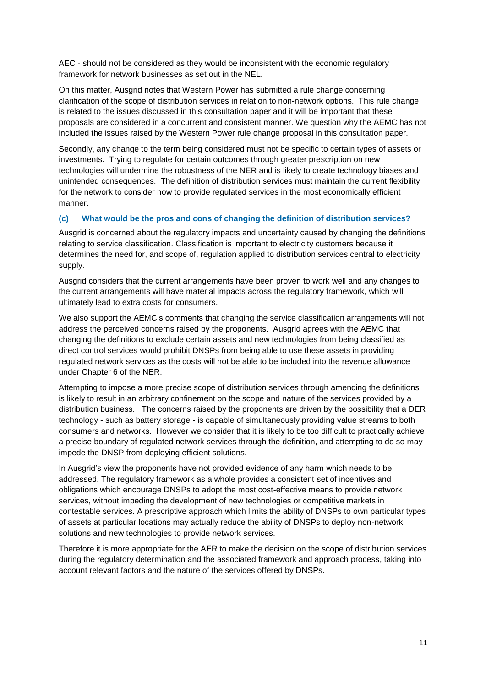AEC - should not be considered as they would be inconsistent with the economic regulatory framework for network businesses as set out in the NEL.

On this matter, Ausgrid notes that Western Power has submitted a rule change concerning clarification of the scope of distribution services in relation to non-network options. This rule change is related to the issues discussed in this consultation paper and it will be important that these proposals are considered in a concurrent and consistent manner. We question why the AEMC has not included the issues raised by the Western Power rule change proposal in this consultation paper.

Secondly, any change to the term being considered must not be specific to certain types of assets or investments. Trying to regulate for certain outcomes through greater prescription on new technologies will undermine the robustness of the NER and is likely to create technology biases and unintended consequences. The definition of distribution services must maintain the current flexibility for the network to consider how to provide regulated services in the most economically efficient manner.

### **(c) What would be the pros and cons of changing the definition of distribution services?**

Ausgrid is concerned about the regulatory impacts and uncertainty caused by changing the definitions relating to service classification. Classification is important to electricity customers because it determines the need for, and scope of, regulation applied to distribution services central to electricity supply.

Ausgrid considers that the current arrangements have been proven to work well and any changes to the current arrangements will have material impacts across the regulatory framework, which will ultimately lead to extra costs for consumers.

We also support the AEMC's comments that changing the service classification arrangements will not address the perceived concerns raised by the proponents. Ausgrid agrees with the AEMC that changing the definitions to exclude certain assets and new technologies from being classified as direct control services would prohibit DNSPs from being able to use these assets in providing regulated network services as the costs will not be able to be included into the revenue allowance under Chapter 6 of the NER.

Attempting to impose a more precise scope of distribution services through amending the definitions is likely to result in an arbitrary confinement on the scope and nature of the services provided by a distribution business. The concerns raised by the proponents are driven by the possibility that a DER technology - such as battery storage - is capable of simultaneously providing value streams to both consumers and networks. However we consider that it is likely to be too difficult to practically achieve a precise boundary of regulated network services through the definition, and attempting to do so may impede the DNSP from deploying efficient solutions.

In Ausgrid's view the proponents have not provided evidence of any harm which needs to be addressed. The regulatory framework as a whole provides a consistent set of incentives and obligations which encourage DNSPs to adopt the most cost-effective means to provide network services, without impeding the development of new technologies or competitive markets in contestable services. A prescriptive approach which limits the ability of DNSPs to own particular types of assets at particular locations may actually reduce the ability of DNSPs to deploy non-network solutions and new technologies to provide network services.

Therefore it is more appropriate for the AER to make the decision on the scope of distribution services during the regulatory determination and the associated framework and approach process, taking into account relevant factors and the nature of the services offered by DNSPs.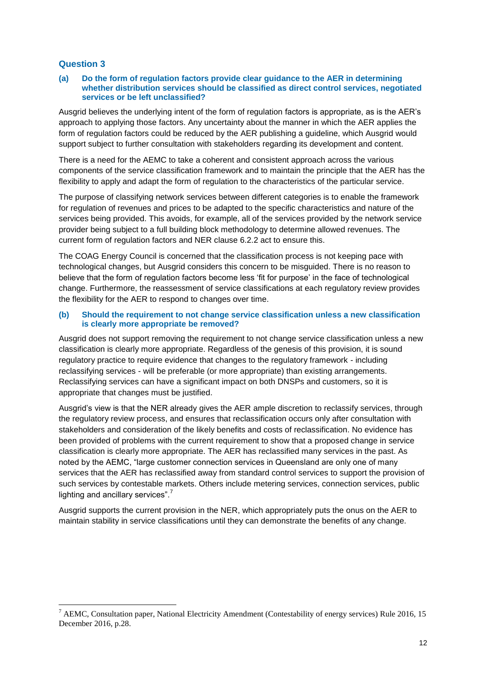#### **Question 3**

<u>.</u>

#### **(a) Do the form of regulation factors provide clear guidance to the AER in determining whether distribution services should be classified as direct control services, negotiated services or be left unclassified?**

Ausgrid believes the underlying intent of the form of regulation factors is appropriate, as is the AER's approach to applying those factors. Any uncertainty about the manner in which the AER applies the form of regulation factors could be reduced by the AER publishing a guideline, which Ausgrid would support subject to further consultation with stakeholders regarding its development and content.

There is a need for the AEMC to take a coherent and consistent approach across the various components of the service classification framework and to maintain the principle that the AER has the flexibility to apply and adapt the form of regulation to the characteristics of the particular service.

The purpose of classifying network services between different categories is to enable the framework for regulation of revenues and prices to be adapted to the specific characteristics and nature of the services being provided. This avoids, for example, all of the services provided by the network service provider being subject to a full building block methodology to determine allowed revenues. The current form of regulation factors and NER clause 6.2.2 act to ensure this.

The COAG Energy Council is concerned that the classification process is not keeping pace with technological changes, but Ausgrid considers this concern to be misguided. There is no reason to believe that the form of regulation factors become less 'fit for purpose' in the face of technological change. Furthermore, the reassessment of service classifications at each regulatory review provides the flexibility for the AER to respond to changes over time.

#### **(b) Should the requirement to not change service classification unless a new classification is clearly more appropriate be removed?**

Ausgrid does not support removing the requirement to not change service classification unless a new classification is clearly more appropriate. Regardless of the genesis of this provision, it is sound regulatory practice to require evidence that changes to the regulatory framework - including reclassifying services - will be preferable (or more appropriate) than existing arrangements. Reclassifying services can have a significant impact on both DNSPs and customers, so it is appropriate that changes must be justified.

Ausgrid's view is that the NER already gives the AER ample discretion to reclassify services, through the regulatory review process, and ensures that reclassification occurs only after consultation with stakeholders and consideration of the likely benefits and costs of reclassification. No evidence has been provided of problems with the current requirement to show that a proposed change in service classification is clearly more appropriate. The AER has reclassified many services in the past. As noted by the AEMC, "large customer connection services in Queensland are only one of many services that the AER has reclassified away from standard control services to support the provision of such services by contestable markets. Others include metering services, connection services, public lighting and ancillary services". $<sup>7</sup>$ </sup>

Ausgrid supports the current provision in the NER, which appropriately puts the onus on the AER to maintain stability in service classifications until they can demonstrate the benefits of any change.

<sup>&</sup>lt;sup>7</sup> AEMC, Consultation paper, National Electricity Amendment (Contestability of energy services) Rule 2016, 15 December 2016, p.28.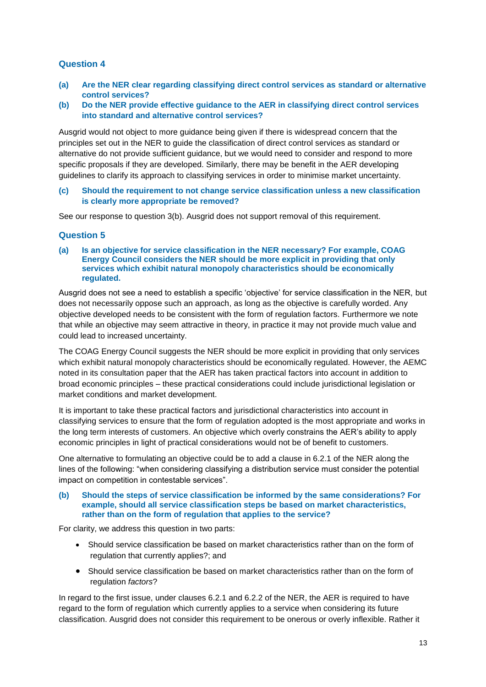### **Question 4**

- **(a) Are the NER clear regarding classifying direct control services as standard or alternative control services?**
- **(b) Do the NER provide effective guidance to the AER in classifying direct control services into standard and alternative control services?**

Ausgrid would not object to more guidance being given if there is widespread concern that the principles set out in the NER to guide the classification of direct control services as standard or alternative do not provide sufficient guidance, but we would need to consider and respond to more specific proposals if they are developed. Similarly, there may be benefit in the AER developing guidelines to clarify its approach to classifying services in order to minimise market uncertainty.

**(c) Should the requirement to not change service classification unless a new classification is clearly more appropriate be removed?**

See our response to question 3(b). Ausgrid does not support removal of this requirement.

### **Question 5**

**(a) Is an objective for service classification in the NER necessary? For example, COAG Energy Council considers the NER should be more explicit in providing that only services which exhibit natural monopoly characteristics should be economically regulated.**

Ausgrid does not see a need to establish a specific 'objective' for service classification in the NER, but does not necessarily oppose such an approach, as long as the objective is carefully worded. Any objective developed needs to be consistent with the form of regulation factors. Furthermore we note that while an objective may seem attractive in theory, in practice it may not provide much value and could lead to increased uncertainty.

The COAG Energy Council suggests the NER should be more explicit in providing that only services which exhibit natural monopoly characteristics should be economically regulated. However, the AEMC noted in its consultation paper that the AER has taken practical factors into account in addition to broad economic principles – these practical considerations could include jurisdictional legislation or market conditions and market development.

It is important to take these practical factors and jurisdictional characteristics into account in classifying services to ensure that the form of regulation adopted is the most appropriate and works in the long term interests of customers. An objective which overly constrains the AER's ability to apply economic principles in light of practical considerations would not be of benefit to customers.

One alternative to formulating an objective could be to add a clause in 6.2.1 of the NER along the lines of the following: "when considering classifying a distribution service must consider the potential impact on competition in contestable services".

#### **(b) Should the steps of service classification be informed by the same considerations? For example, should all service classification steps be based on market characteristics, rather than on the form of regulation that applies to the service?**

For clarity, we address this question in two parts:

- Should service classification be based on market characteristics rather than on the form of regulation that currently applies?; and
- Should service classification be based on market characteristics rather than on the form of regulation *factors*?

In regard to the first issue, under clauses 6.2.1 and 6.2.2 of the NER, the AER is required to have regard to the form of regulation which currently applies to a service when considering its future classification. Ausgrid does not consider this requirement to be onerous or overly inflexible. Rather it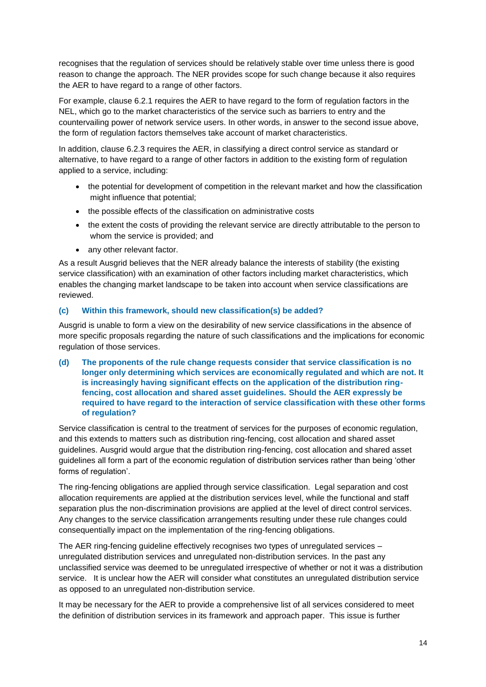recognises that the regulation of services should be relatively stable over time unless there is good reason to change the approach. The NER provides scope for such change because it also requires the AER to have regard to a range of other factors.

For example, clause 6.2.1 requires the AER to have regard to the form of regulation factors in the NEL, which go to the market characteristics of the service such as barriers to entry and the countervailing power of network service users. In other words, in answer to the second issue above, the form of regulation factors themselves take account of market characteristics.

In addition, clause 6.2.3 requires the AER, in classifying a direct control service as standard or alternative, to have regard to a range of other factors in addition to the existing form of regulation applied to a service, including:

- the potential for development of competition in the relevant market and how the classification might influence that potential;
- the possible effects of the classification on administrative costs
- the extent the costs of providing the relevant service are directly attributable to the person to whom the service is provided; and
- any other relevant factor.

As a result Ausgrid believes that the NER already balance the interests of stability (the existing service classification) with an examination of other factors including market characteristics, which enables the changing market landscape to be taken into account when service classifications are reviewed.

### **(c) Within this framework, should new classification(s) be added?**

Ausgrid is unable to form a view on the desirability of new service classifications in the absence of more specific proposals regarding the nature of such classifications and the implications for economic regulation of those services.

**(d) The proponents of the rule change requests consider that service classification is no longer only determining which services are economically regulated and which are not. It is increasingly having significant effects on the application of the distribution ringfencing, cost allocation and shared asset guidelines. Should the AER expressly be required to have regard to the interaction of service classification with these other forms of regulation?**

Service classification is central to the treatment of services for the purposes of economic regulation, and this extends to matters such as distribution ring-fencing, cost allocation and shared asset guidelines. Ausgrid would argue that the distribution ring-fencing, cost allocation and shared asset guidelines all form a part of the economic regulation of distribution services rather than being 'other forms of regulation'.

The ring-fencing obligations are applied through service classification. Legal separation and cost allocation requirements are applied at the distribution services level, while the functional and staff separation plus the non-discrimination provisions are applied at the level of direct control services. Any changes to the service classification arrangements resulting under these rule changes could consequentially impact on the implementation of the ring-fencing obligations.

The AER ring-fencing guideline effectively recognises two types of unregulated services – unregulated distribution services and unregulated non-distribution services. In the past any unclassified service was deemed to be unregulated irrespective of whether or not it was a distribution service. It is unclear how the AER will consider what constitutes an unregulated distribution service as opposed to an unregulated non-distribution service.

It may be necessary for the AER to provide a comprehensive list of all services considered to meet the definition of distribution services in its framework and approach paper. This issue is further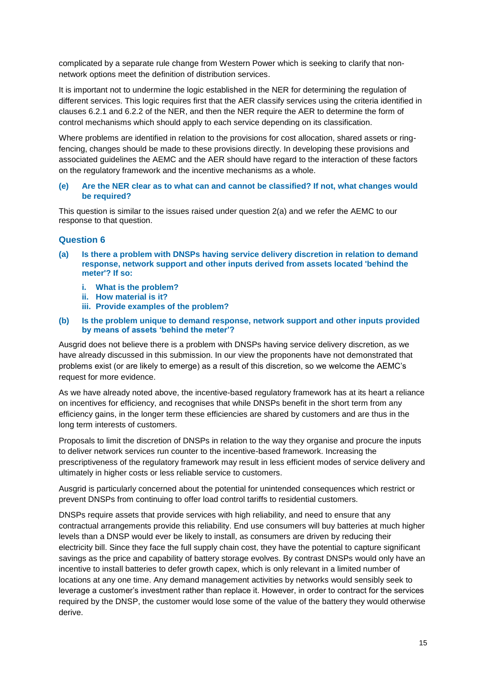complicated by a separate rule change from Western Power which is seeking to clarify that nonnetwork options meet the definition of distribution services.

It is important not to undermine the logic established in the NER for determining the regulation of different services. This logic requires first that the AER classify services using the criteria identified in clauses 6.2.1 and 6.2.2 of the NER, and then the NER require the AER to determine the form of control mechanisms which should apply to each service depending on its classification.

Where problems are identified in relation to the provisions for cost allocation, shared assets or ringfencing, changes should be made to these provisions directly. In developing these provisions and associated guidelines the AEMC and the AER should have regard to the interaction of these factors on the regulatory framework and the incentive mechanisms as a whole.

#### **(e) Are the NER clear as to what can and cannot be classified? If not, what changes would be required?**

This question is similar to the issues raised under question 2(a) and we refer the AEMC to our response to that question.

#### **Question 6**

- **(a) Is there a problem with DNSPs having service delivery discretion in relation to demand response, network support and other inputs derived from assets located 'behind the meter'? If so:**
	- **i. What is the problem?**
	- **ii. How material is it?**
	- **iii. Provide examples of the problem?**

#### **(b) Is the problem unique to demand response, network support and other inputs provided by means of assets 'behind the meter'?**

Ausgrid does not believe there is a problem with DNSPs having service delivery discretion, as we have already discussed in this submission. In our view the proponents have not demonstrated that problems exist (or are likely to emerge) as a result of this discretion, so we welcome the AEMC's request for more evidence.

As we have already noted above, the incentive-based regulatory framework has at its heart a reliance on incentives for efficiency, and recognises that while DNSPs benefit in the short term from any efficiency gains, in the longer term these efficiencies are shared by customers and are thus in the long term interests of customers.

Proposals to limit the discretion of DNSPs in relation to the way they organise and procure the inputs to deliver network services run counter to the incentive-based framework. Increasing the prescriptiveness of the regulatory framework may result in less efficient modes of service delivery and ultimately in higher costs or less reliable service to customers.

Ausgrid is particularly concerned about the potential for unintended consequences which restrict or prevent DNSPs from continuing to offer load control tariffs to residential customers.

DNSPs require assets that provide services with high reliability, and need to ensure that any contractual arrangements provide this reliability. End use consumers will buy batteries at much higher levels than a DNSP would ever be likely to install, as consumers are driven by reducing their electricity bill. Since they face the full supply chain cost, they have the potential to capture significant savings as the price and capability of battery storage evolves. By contrast DNSPs would only have an incentive to install batteries to defer growth capex, which is only relevant in a limited number of locations at any one time. Any demand management activities by networks would sensibly seek to leverage a customer's investment rather than replace it. However, in order to contract for the services required by the DNSP, the customer would lose some of the value of the battery they would otherwise derive.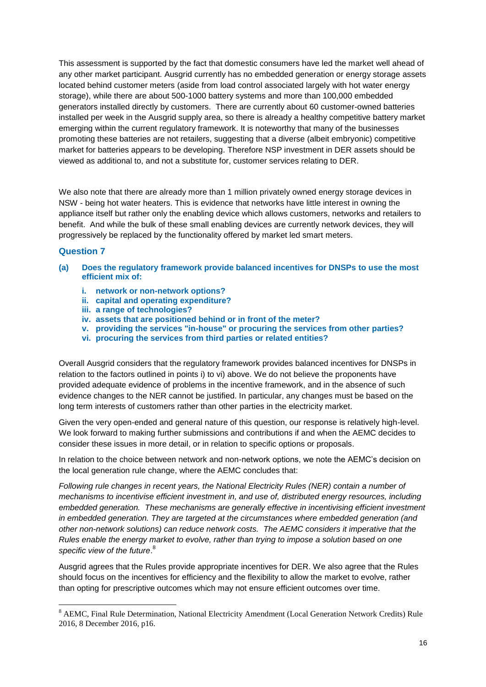This assessment is supported by the fact that domestic consumers have led the market well ahead of any other market participant. Ausgrid currently has no embedded generation or energy storage assets located behind customer meters (aside from load control associated largely with hot water energy storage), while there are about 500-1000 battery systems and more than 100,000 embedded generators installed directly by customers. There are currently about 60 customer-owned batteries installed per week in the Ausgrid supply area, so there is already a healthy competitive battery market emerging within the current regulatory framework. It is noteworthy that many of the businesses promoting these batteries are not retailers, suggesting that a diverse (albeit embryonic) competitive market for batteries appears to be developing. Therefore NSP investment in DER assets should be viewed as additional to, and not a substitute for, customer services relating to DER.

We also note that there are already more than 1 million privately owned energy storage devices in NSW - being hot water heaters. This is evidence that networks have little interest in owning the appliance itself but rather only the enabling device which allows customers, networks and retailers to benefit. And while the bulk of these small enabling devices are currently network devices, they will progressively be replaced by the functionality offered by market led smart meters.

### **Question 7**

<u>.</u>

- **(a) Does the regulatory framework provide balanced incentives for DNSPs to use the most efficient mix of:**
	- **i. network or non-network options?**
	- **ii. capital and operating expenditure?**
	- **iii. a range of technologies?**
	- **iv. assets that are positioned behind or in front of the meter?**
	- **v. providing the services "in-house" or procuring the services from other parties?**
	- **vi. procuring the services from third parties or related entities?**

Overall Ausgrid considers that the regulatory framework provides balanced incentives for DNSPs in relation to the factors outlined in points i) to vi) above. We do not believe the proponents have provided adequate evidence of problems in the incentive framework, and in the absence of such evidence changes to the NER cannot be justified. In particular, any changes must be based on the long term interests of customers rather than other parties in the electricity market.

Given the very open-ended and general nature of this question, our response is relatively high-level. We look forward to making further submissions and contributions if and when the AEMC decides to consider these issues in more detail, or in relation to specific options or proposals.

In relation to the choice between network and non-network options, we note the AEMC's decision on the local generation rule change, where the AEMC concludes that:

*Following rule changes in recent years, the National Electricity Rules (NER) contain a number of mechanisms to incentivise efficient investment in, and use of, distributed energy resources, including embedded generation. These mechanisms are generally effective in incentivising efficient investment in embedded generation. They are targeted at the circumstances where embedded generation (and other non-network solutions) can reduce network costs. The AEMC considers it imperative that the Rules enable the energy market to evolve, rather than trying to impose a solution based on one specific view of the future*. 8

Ausgrid agrees that the Rules provide appropriate incentives for DER. We also agree that the Rules should focus on the incentives for efficiency and the flexibility to allow the market to evolve, rather than opting for prescriptive outcomes which may not ensure efficient outcomes over time.

<sup>8</sup> AEMC, Final Rule Determination, National Electricity Amendment (Local Generation Network Credits) Rule 2016, 8 December 2016, p16.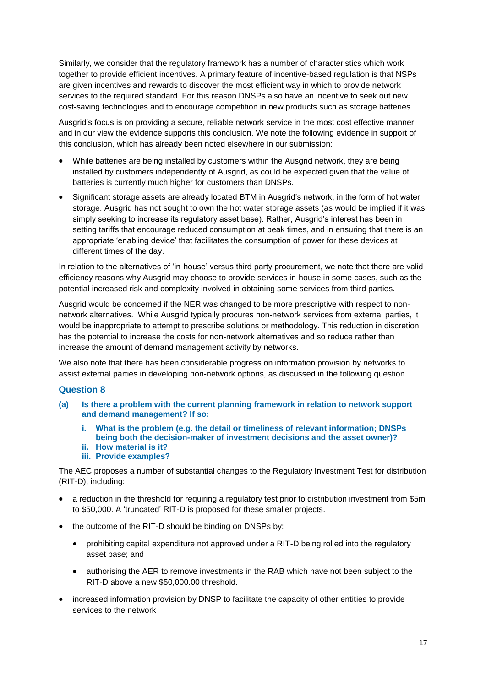Similarly, we consider that the regulatory framework has a number of characteristics which work together to provide efficient incentives. A primary feature of incentive-based regulation is that NSPs are given incentives and rewards to discover the most efficient way in which to provide network services to the required standard. For this reason DNSPs also have an incentive to seek out new cost-saving technologies and to encourage competition in new products such as storage batteries.

Ausgrid's focus is on providing a secure, reliable network service in the most cost effective manner and in our view the evidence supports this conclusion. We note the following evidence in support of this conclusion, which has already been noted elsewhere in our submission:

- While batteries are being installed by customers within the Ausgrid network, they are being installed by customers independently of Ausgrid, as could be expected given that the value of batteries is currently much higher for customers than DNSPs.
- Significant storage assets are already located BTM in Ausgrid's network, in the form of hot water storage. Ausgrid has not sought to own the hot water storage assets (as would be implied if it was simply seeking to increase its regulatory asset base). Rather, Ausgrid's interest has been in setting tariffs that encourage reduced consumption at peak times, and in ensuring that there is an appropriate 'enabling device' that facilitates the consumption of power for these devices at different times of the day.

In relation to the alternatives of 'in-house' versus third party procurement, we note that there are valid efficiency reasons why Ausgrid may choose to provide services in-house in some cases, such as the potential increased risk and complexity involved in obtaining some services from third parties.

Ausgrid would be concerned if the NER was changed to be more prescriptive with respect to nonnetwork alternatives. While Ausgrid typically procures non-network services from external parties, it would be inappropriate to attempt to prescribe solutions or methodology. This reduction in discretion has the potential to increase the costs for non-network alternatives and so reduce rather than increase the amount of demand management activity by networks.

We also note that there has been considerable progress on information provision by networks to assist external parties in developing non-network options, as discussed in the following question.

#### **Question 8**

- **(a) Is there a problem with the current planning framework in relation to network support and demand management? If so:**
	- **i. What is the problem (e.g. the detail or timeliness of relevant information; DNSPs being both the decision-maker of investment decisions and the asset owner)?**
	- **ii. How material is it?**
	- **iii. Provide examples?**

The AEC proposes a number of substantial changes to the Regulatory Investment Test for distribution (RIT-D), including:

- a reduction in the threshold for requiring a regulatory test prior to distribution investment from \$5m to \$50,000. A 'truncated' RIT-D is proposed for these smaller projects.
- the outcome of the RIT-D should be binding on DNSPs by:
	- prohibiting capital expenditure not approved under a RIT-D being rolled into the regulatory asset base; and
	- authorising the AER to remove investments in the RAB which have not been subject to the RIT-D above a new \$50,000.00 threshold.
- increased information provision by DNSP to facilitate the capacity of other entities to provide services to the network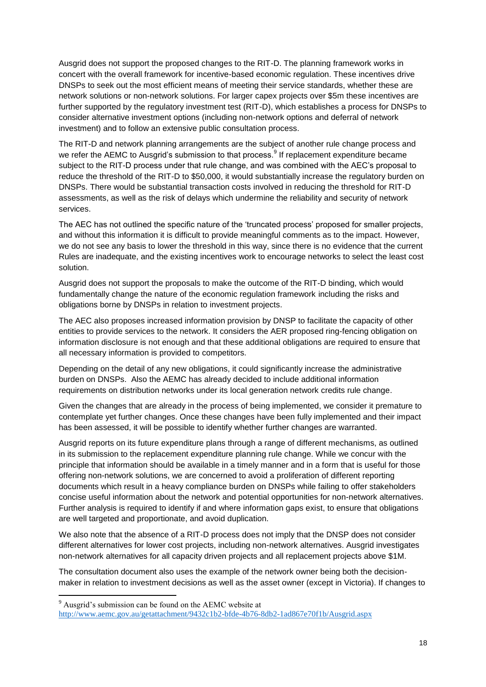Ausgrid does not support the proposed changes to the RIT-D. The planning framework works in concert with the overall framework for incentive-based economic regulation. These incentives drive DNSPs to seek out the most efficient means of meeting their service standards, whether these are network solutions or non-network solutions. For larger capex projects over \$5m these incentives are further supported by the regulatory investment test (RIT-D), which establishes a process for DNSPs to consider alternative investment options (including non-network options and deferral of network investment) and to follow an extensive public consultation process.

The RIT-D and network planning arrangements are the subject of another rule change process and we refer the AEMC to Ausgrid's submission to that process.<sup>9</sup> If replacement expenditure became subject to the RIT-D process under that rule change, and was combined with the AEC's proposal to reduce the threshold of the RIT-D to \$50,000, it would substantially increase the regulatory burden on DNSPs. There would be substantial transaction costs involved in reducing the threshold for RIT-D assessments, as well as the risk of delays which undermine the reliability and security of network services.

The AEC has not outlined the specific nature of the 'truncated process' proposed for smaller projects, and without this information it is difficult to provide meaningful comments as to the impact. However, we do not see any basis to lower the threshold in this way, since there is no evidence that the current Rules are inadequate, and the existing incentives work to encourage networks to select the least cost solution.

Ausgrid does not support the proposals to make the outcome of the RIT-D binding, which would fundamentally change the nature of the economic regulation framework including the risks and obligations borne by DNSPs in relation to investment projects.

The AEC also proposes increased information provision by DNSP to facilitate the capacity of other entities to provide services to the network. It considers the AER proposed ring-fencing obligation on information disclosure is not enough and that these additional obligations are required to ensure that all necessary information is provided to competitors.

Depending on the detail of any new obligations, it could significantly increase the administrative burden on DNSPs. Also the AEMC has already decided to include additional information requirements on distribution networks under its local generation network credits rule change.

Given the changes that are already in the process of being implemented, we consider it premature to contemplate yet further changes. Once these changes have been fully implemented and their impact has been assessed, it will be possible to identify whether further changes are warranted.

Ausgrid reports on its future expenditure plans through a range of different mechanisms, as outlined in its submission to the replacement expenditure planning rule change. While we concur with the principle that information should be available in a timely manner and in a form that is useful for those offering non-network solutions, we are concerned to avoid a proliferation of different reporting documents which result in a heavy compliance burden on DNSPs while failing to offer stakeholders concise useful information about the network and potential opportunities for non-network alternatives. Further analysis is required to identify if and where information gaps exist, to ensure that obligations are well targeted and proportionate, and avoid duplication.

We also note that the absence of a RIT-D process does not imply that the DNSP does not consider different alternatives for lower cost projects, including non-network alternatives. Ausgrid investigates non-network alternatives for all capacity driven projects and all replacement projects above \$1M.

The consultation document also uses the example of the network owner being both the decisionmaker in relation to investment decisions as well as the asset owner (except in Victoria). If changes to

1

<sup>9</sup> Ausgrid's submission can be found on the AEMC website at

<http://www.aemc.gov.au/getattachment/9432c1b2-bfde-4b76-8db2-1ad867e70f1b/Ausgrid.aspx>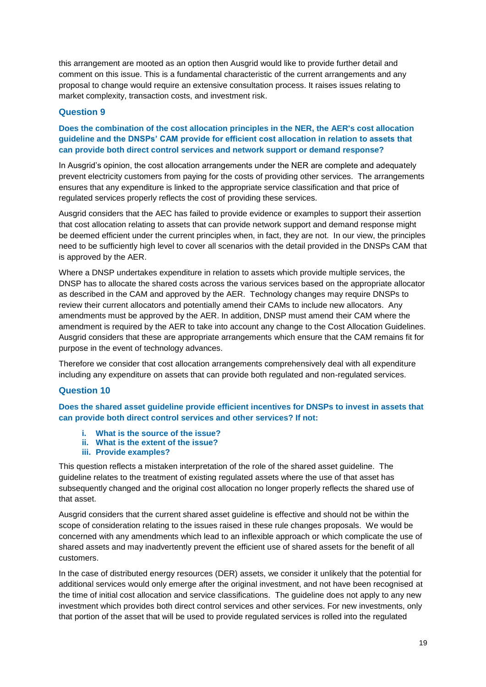this arrangement are mooted as an option then Ausgrid would like to provide further detail and comment on this issue. This is a fundamental characteristic of the current arrangements and any proposal to change would require an extensive consultation process. It raises issues relating to market complexity, transaction costs, and investment risk.

### **Question 9**

### **Does the combination of the cost allocation principles in the NER, the AER's cost allocation guideline and the DNSPs' CAM provide for efficient cost allocation in relation to assets that can provide both direct control services and network support or demand response?**

In Ausgrid's opinion, the cost allocation arrangements under the NER are complete and adequately prevent electricity customers from paying for the costs of providing other services. The arrangements ensures that any expenditure is linked to the appropriate service classification and that price of regulated services properly reflects the cost of providing these services.

Ausgrid considers that the AEC has failed to provide evidence or examples to support their assertion that cost allocation relating to assets that can provide network support and demand response might be deemed efficient under the current principles when, in fact, they are not. In our view, the principles need to be sufficiently high level to cover all scenarios with the detail provided in the DNSPs CAM that is approved by the AER.

Where a DNSP undertakes expenditure in relation to assets which provide multiple services, the DNSP has to allocate the shared costs across the various services based on the appropriate allocator as described in the CAM and approved by the AER. Technology changes may require DNSPs to review their current allocators and potentially amend their CAMs to include new allocators. Any amendments must be approved by the AER. In addition, DNSP must amend their CAM where the amendment is required by the AER to take into account any change to the Cost Allocation Guidelines. Ausgrid considers that these are appropriate arrangements which ensure that the CAM remains fit for purpose in the event of technology advances.

Therefore we consider that cost allocation arrangements comprehensively deal with all expenditure including any expenditure on assets that can provide both regulated and non-regulated services.

#### **Question 10**

**Does the shared asset guideline provide efficient incentives for DNSPs to invest in assets that can provide both direct control services and other services? If not:**

- **i. What is the source of the issue?**
- **ii. What is the extent of the issue?**
- **iii. Provide examples?**

This question reflects a mistaken interpretation of the role of the shared asset guideline. The guideline relates to the treatment of existing regulated assets where the use of that asset has subsequently changed and the original cost allocation no longer properly reflects the shared use of that asset.

Ausgrid considers that the current shared asset guideline is effective and should not be within the scope of consideration relating to the issues raised in these rule changes proposals. We would be concerned with any amendments which lead to an inflexible approach or which complicate the use of shared assets and may inadvertently prevent the efficient use of shared assets for the benefit of all customers.

In the case of distributed energy resources (DER) assets, we consider it unlikely that the potential for additional services would only emerge after the original investment, and not have been recognised at the time of initial cost allocation and service classifications. The guideline does not apply to any new investment which provides both direct control services and other services. For new investments, only that portion of the asset that will be used to provide regulated services is rolled into the regulated